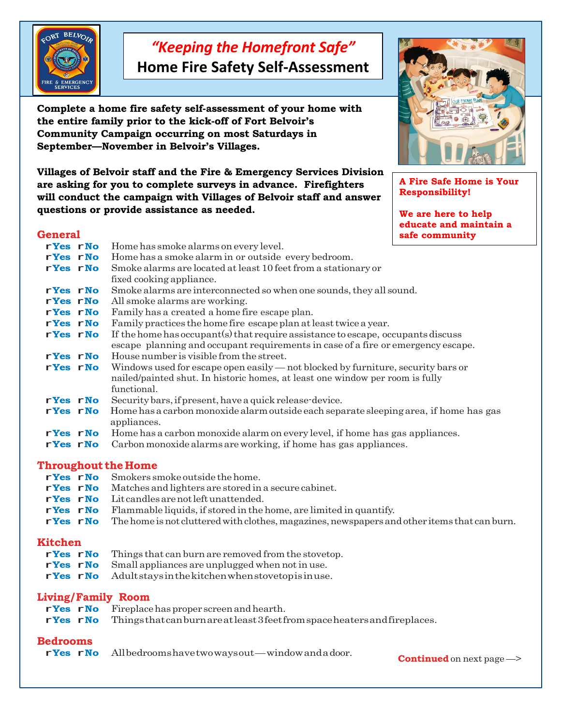

# *"Keeping the Homefront Safe"*

**Home Fire Safety Self-Assessment**

**Complete a home fire safety self-assessment of your home with the entire family prior to the kick-off of Fort Belvoir's Community Campaign occurring on most Saturdays in September—November in Belvoir's Villages.**

**Villages of Belvoir staff and the Fire & Emergency Services Division are asking for you to complete surveys in advance. Firefighters will conduct the campaign with Villages of Belvoir staff and answer questions or provide assistance as needed.**

## **General**

| ucnciai  |  |                                                                                       | sale community |  |  |  |
|----------|--|---------------------------------------------------------------------------------------|----------------|--|--|--|
| rYes rNo |  | Home has smoke alarms on every level.                                                 |                |  |  |  |
| rYes rNo |  | Home has a smoke alarm in or outside every bedroom.                                   |                |  |  |  |
| rYes rNo |  | Smoke alarms are located at least 10 feet from a stationary or                        |                |  |  |  |
|          |  | fixed cooking appliance.                                                              |                |  |  |  |
| rYes rNo |  | Smoke alarms are interconnected so when one sounds, they all sound.                   |                |  |  |  |
| rYes rNo |  | All smoke alarms are working.                                                         |                |  |  |  |
| rYes rNo |  | Family has a created a home fire escape plan.                                         |                |  |  |  |
| rYes rNo |  | Family practices the home fire escape plan at least twice a year.                     |                |  |  |  |
| rYes rNo |  | If the home has occupant(s) that require assistance to escape, occupants discuss      |                |  |  |  |
|          |  | escape planning and occupant requirements in case of a fire or emergency escape.      |                |  |  |  |
| rYes rNo |  | House number is visible from the street.                                              |                |  |  |  |
| rYes rNo |  | Windows used for escape open easily — not blocked by furniture, security bars or      |                |  |  |  |
|          |  | nailed/painted shut. In historic homes, at least one window per room is fully         |                |  |  |  |
|          |  | functional.                                                                           |                |  |  |  |
| rYes rNo |  | Security bars, if present, have a quick release-device.                               |                |  |  |  |
| rYes rNo |  | Home has a carbon monoxide alarm outside each separate sleeping area, if home has gas |                |  |  |  |
|          |  | appliances.                                                                           |                |  |  |  |
| rYes rNo |  | Home has a carbon monoxide alarm on every level, if home has gas appliances.          |                |  |  |  |
| rYes rNo |  | Carbon monoxide alarms are working, if home has gas appliances.                       |                |  |  |  |
|          |  |                                                                                       |                |  |  |  |

### **Throughout the Home**

- **rYes rNo** Smokers smoke outside the home.<br>**rYes rNo** Matches and lighters are stored in
- r**Yes** r**No** Matches and lighters are stored in <sup>a</sup> secure cabinet.
- **r**Yes rNo Lit candles are not left unattended.<br>**rYes rNo** Flammable liquids, if stored in the
- **rives rivellet Flammable liquids, if stored in the home, are limited in quantify.<br><b>rives rNo** The home is not cluttered with clothes, magazines, newspapers an
- The home is not cluttered with clothes, magazines, newspapers and other items that can burn.

- **Kitchen**<br>rYes rNo **rives rNo** Things that can burn are removed from the stovetop.<br>**rYes rNo** Small appliances are unplugged when not in use.
- **r**Yes rNo Small appliances are unplugged when not in use.<br>**rYes rNo** Adult stays in the kitchen when stovetop is in use
- Adultstays in the kitchen when stovetopis in use.

|  | Living/Family Room                                                                     |
|--|----------------------------------------------------------------------------------------|
|  | $rYes$ $rNo$ Fireplace has proper screen and hearth.                                   |
|  | r Yes r No Things that can burn are at least 3 feet from space heaters and fireplaces. |

## **Bedrooms**

r**Yes** r**No** Allbedroomshavetwowaysout—windowandadoor.

**Continued** on next page —>



**A Fire Safe Home is Your Responsibility!**

**We are here to help educate and maintain a safe community**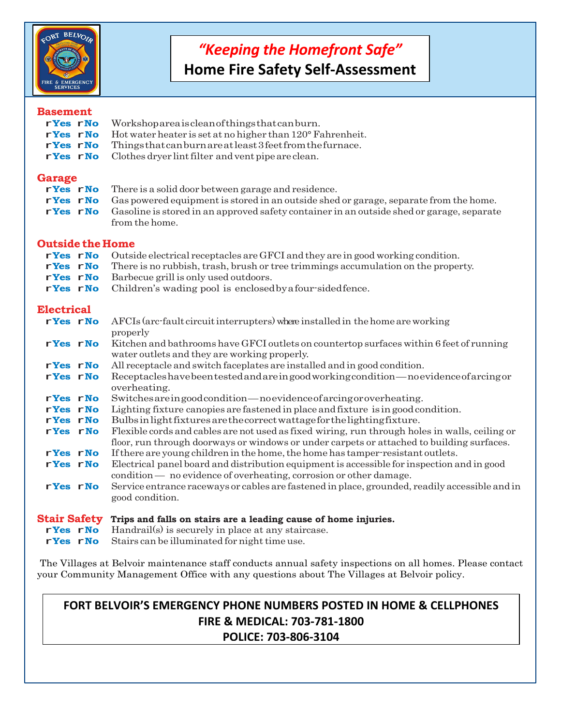

# *"Keeping the Homefront Safe"*

**Home Fire Safety Self-Assessment**

### **Basement**

| Daschlehe               |                                                                                                                   |
|-------------------------|-------------------------------------------------------------------------------------------------------------------|
| rYes rNo                | Workshopareaiscleanofthingsthatcanburn.                                                                           |
| rYes rNo                | Hot water heater is set at no higher than 120° Fahrenheit.                                                        |
| rYes rNo                | Thingsthatcanburnareatleast3feetfromthefurnace.                                                                   |
| rYes rNo                | Clothes dryer lint filter and vent pipe are clean.                                                                |
|                         |                                                                                                                   |
| <b>Garage</b>           |                                                                                                                   |
| rYes rNo                | There is a solid door between garage and residence.                                                               |
| rYes rNo                | Gas powered equipment is stored in an outside shed or garage, separate from the home.                             |
| rYes rNo                | Gasoline is stored in an approved safety container in an outside shed or garage, separate                         |
|                         | from the home.                                                                                                    |
|                         |                                                                                                                   |
| <b>Outside the Home</b> |                                                                                                                   |
| rYes rNo                | Outside electrical receptacles are GFCI and they are in good working condition.                                   |
| rYes rNo                | There is no rubbish, trash, brush or tree trimmings accumulation on the property.                                 |
| rYes rNo                | Barbecue grill is only used outdoors.                                                                             |
|                         |                                                                                                                   |
| rYes rNo                | Children's wading pool is enclosed by a four-sided fence.                                                         |
| <b>Electrical</b>       |                                                                                                                   |
|                         |                                                                                                                   |
| rYes rNo                | AFCIs (arc-fault circuit interrupters) where installed in the home are working                                    |
|                         | properly                                                                                                          |
| rYes rNo                | Kitchen and bathrooms have GFCI outlets on countertop surfaces within 6 feet of running                           |
|                         | water outlets and they are working properly.                                                                      |
| rYes rNo                | All receptacle and switch faceplates are installed and in good condition.                                         |
| rYes rNo                | Receptacles have been tested and are in good working condition—no evidence of arcing or                           |
|                         | overheating.                                                                                                      |
| rYes rNo                | Switches are in good condition—no evidence of arcing or overheating.                                              |
| rYes rNo                | Lighting fixture canopies are fastened in place and fixture is in good condition.                                 |
| rYes rNo                | Bulbs in light fixtures are the correct wattage for the lighting fixture.                                         |
| rYes rNo                | Flexible cords and cables are not used as fixed wiring, run through holes in walls, ceiling or                    |
|                         | floor, run through doorways or windows or under carpets or attached to building surfaces.                         |
| rYes rNo                | If there are young children in the home, the home has tamper-resistant outlets.                                   |
| rYes rNo                | Electrical panel board and distribution equipment is accessible for inspection and in good                        |
|                         | condition — no evidence of overheating, corrosion or other damage.                                                |
|                         |                                                                                                                   |
| rYes rNo                | Service entrance raceways or cables are fastened in place, grounded, readily accessible and in<br>good condition. |
|                         |                                                                                                                   |
|                         | Stair Safety Trips and falls on stairs are a leading cause of home injuries.                                      |
| rYes rNo                | Handrail(s) is securely in place at any staircase.                                                                |
|                         |                                                                                                                   |

**rives rNo Example 1 Res rNo** Stairs can be illuminated for night time use.

The Villages at Belvoir maintenance staff conducts annual safety inspections on all homes. Please contact your Community Management Office with any questions about The Villages at Belvoir policy.

## **FORT BELVOIR'S EMERGENCY PHONE NUMBERS POSTED IN HOME & CELLPHONES FIRE & MEDICAL: 703-781-1800 POLICE: 703-806-3104**